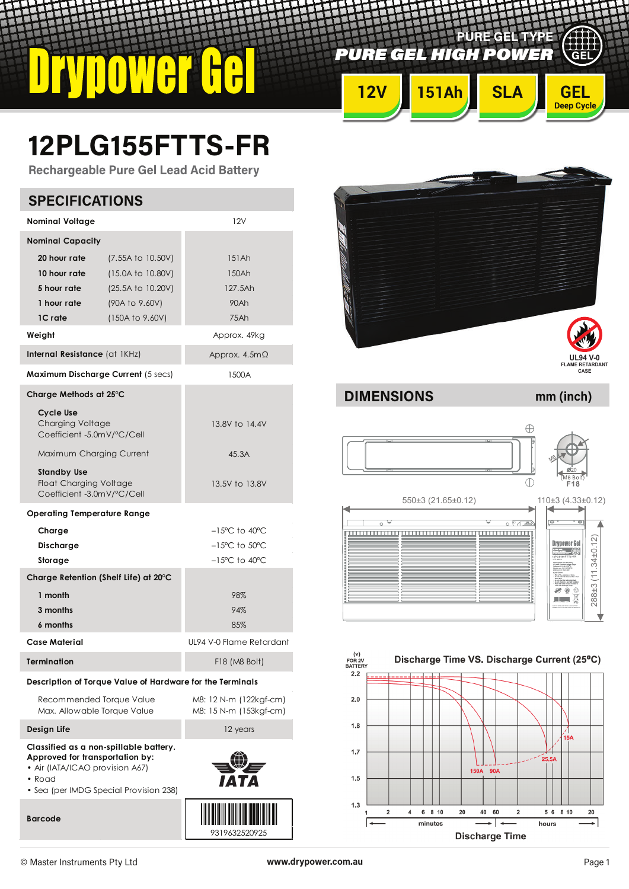*PURE GEL HIGH POWER*

**12V 151Ah SLA GEL**

**PURE GEL TYPE**

# **12PLG155FTTS-FR**

**Rechargeable Pure Gel Lead Acid Battery**

| <b>SPECIFICATIONS</b>                                                                                                                                                                                                                                                                                                                                 |                                                                                                  |                                                                                                                                                                          |  |  |  |  |
|-------------------------------------------------------------------------------------------------------------------------------------------------------------------------------------------------------------------------------------------------------------------------------------------------------------------------------------------------------|--------------------------------------------------------------------------------------------------|--------------------------------------------------------------------------------------------------------------------------------------------------------------------------|--|--|--|--|
| <b>Nominal Voltage</b>                                                                                                                                                                                                                                                                                                                                |                                                                                                  | 12V                                                                                                                                                                      |  |  |  |  |
| <b>Nominal Capacity</b><br>20 hour rate<br>10 hour rate<br>5 hour rate<br>1 hour rate<br>1C rate                                                                                                                                                                                                                                                      | (7.55A to 10.50V)<br>(15.0A to 10.80V)<br>(25.5A to 10.20V)<br>(90A to 9.60V)<br>(150A to 9.60V) | 151Ah<br>150Ah<br>127.5Ah<br>90Ah<br>75Ah                                                                                                                                |  |  |  |  |
| Weight                                                                                                                                                                                                                                                                                                                                                |                                                                                                  | Approx. 49kg                                                                                                                                                             |  |  |  |  |
| Internal Resistance (at IKHz)                                                                                                                                                                                                                                                                                                                         | Approx. $4.5m\Omega$                                                                             |                                                                                                                                                                          |  |  |  |  |
| Maximum Discharge Current (5 secs)                                                                                                                                                                                                                                                                                                                    |                                                                                                  | 1500A                                                                                                                                                                    |  |  |  |  |
| Charge Methods at 25°C<br><b>Cycle Use</b><br><b>Charging Voltage</b><br>Coefficient -5.0mV/°C/Cell<br>Maximum Charging Current<br><b>Standby Use</b><br><b>Float Charging Voltage</b><br>Coefficient -3.0mV/°C/Cell<br>Operating Temperature Range<br>Charge<br>Discharge<br>Storage<br>Charge Retention (Shelf Life) at 20°C<br>1 month<br>3 months |                                                                                                  | 13.8V to 14.4V<br>45.3A<br>13.5V to 13.8V<br>$-15^{\circ}$ C to 40 $^{\circ}$ C<br>$-15^{\circ}$ C to $50^{\circ}$ C<br>$-15^{\circ}$ C to 40 $^{\circ}$ C<br>98%<br>94% |  |  |  |  |
| 6 months                                                                                                                                                                                                                                                                                                                                              |                                                                                                  | 85%                                                                                                                                                                      |  |  |  |  |
| <b>Case Material</b>                                                                                                                                                                                                                                                                                                                                  |                                                                                                  | UL94 V-0 Flame Retardant                                                                                                                                                 |  |  |  |  |
|                                                                                                                                                                                                                                                                                                                                                       | <b>Termination</b><br>F18 (M8 Bolt)                                                              |                                                                                                                                                                          |  |  |  |  |
| Recommended Torque Value<br>Max. Allowable Torque Value                                                                                                                                                                                                                                                                                               | Description of Torque Value of Hardware for the Terminals                                        | M8: 12 N-m (122kgf-cm)<br>M8: 15 N-m (153kgf-cm)                                                                                                                         |  |  |  |  |
| Design Life                                                                                                                                                                                                                                                                                                                                           |                                                                                                  | 12 years                                                                                                                                                                 |  |  |  |  |
| Classified as a non-spillable battery.<br>Approved for transportation by:<br>• Air (IATA/ICAO provision A67)<br>• Road                                                                                                                                                                                                                                | • Sea (per IMDG Special Provision 238)                                                           |                                                                                                                                                                          |  |  |  |  |



**DIMENSIONS mm (inch)**

**Deep Cycle**

ULLI<br>Sel





**Barcode**

<u>iji ji shihi shihi shihi shihi shihi shihi shihi shihi shihi shihi shihi shihi shihi shihi shihi shihi shihi s</u> 9319632520925